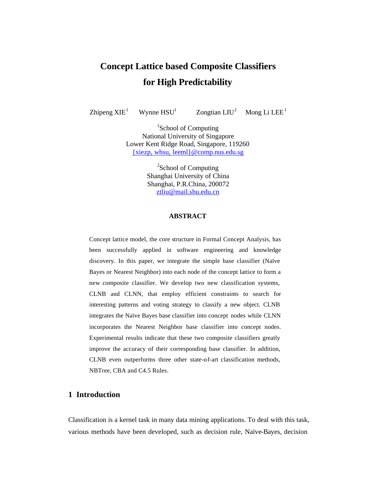# **Concept Lattice based Composite Classifiers for High Predictability**

Zhipeng  $XIE<sup>1</sup>$ 

Wynne  $HSU<sup>1</sup>$ 

Zongtian LIU<sup>2</sup> Mong Li LEE<sup>1</sup>

<sup>1</sup>School of Computing National University of Singapore Lower Kent Ridge Road, Singapore, 119260 {xiezp, whsu, leeml}@comp.nus.edu.sg

> <sup>2</sup>School of Computing Shanghai University of China Shanghai, P.R.China, 200072 ztliu@mail.shu.edu.cn

## **ABSTRACT**

Concept lattice model, the core structure in Formal Concept Analysis, has been successfully applied in software engineering and knowledge discovery. In this paper, we integrate the simple base classifier (Naïve Bayes or Nearest Neighbor) into each node of the concept lattice to form a new composite classifier. We develop two new classification systems, CLNB and CLNN, that employ efficient constraints to search for interesting patterns and voting strategy to classify a new object. CLNB integrates the Naïve Bayes base classifier into concept nodes while CLNN incorporates the Nearest Neighbor base classifier into concept nodes. Experimental results indicate that these two composite classifiers greatly improve the accuracy of their corresponding base classifier. In addition, CLNB even outperforms three other state-of-art classification methods, NBTree, CBA and C4.5 Rules.

# **1 Introduction**

Classification is a kernel task in many data mining applications. To deal with this task, various methods have been developed, such as decision rule, Naïve-Bayes, decision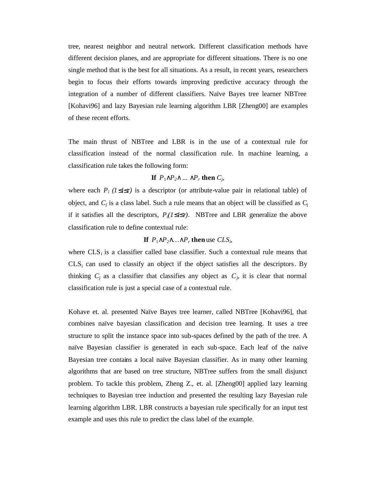tree, nearest neighbor and neutral network. Different classification methods have different decision planes, and are appropriate for different situations. There is no one single method that is the best for all situations. As a result, in recent years, researchers begin to focus their efforts towards improving predictive accuracy through the integration of a number of different classifiers. Naïve Bayes tree learner NBTree [Kohavi96] and lazy Bayesian rule learning algorithm LBR [Zheng00] are examples of these recent efforts.

The main thrust of NBTree and LBR is in the use of a contextual rule for classification instead of the normal classification rule. In machine learning, a classification rule takes the following form:

# **If**  $P_1 \tilde{U} P_2 \tilde{U} \dots \tilde{U} P_r$  then  $C_i$ ,

where each  $P_i$  (*I*  $\mathbf{f}$ *i* $\mathbf{f}$ *r*) is a descriptor (or attribute-value pair in relational table) of object, and  $C_j$  is a class label. Such a rule means that an object will be classified as  $C_j$ if it satisfies all the descriptors,  $P_i(I \mathbf{f} \mathbf{i} \mathbf{f} \mathbf{r})$ . NBTree and LBR generalize the above classification rule to define contextual rule:

# **If**  $P_1 \tilde{U} P_2 \tilde{U} \dots \tilde{U} P_r$  then use  $CLS_i$ ,

where  $CLS_i$  is a classifier called base classifier. Such a contextual rule means that  $CLS_i$  can used to classify an object if the object satisfies all the descriptors. By thinking  $C_j$  as a classifier that classifies any object as  $C_j$ , it is clear that normal classification rule is just a special case of a contextual rule.

Kohave et. al. presented Naïve Bayes tree learner, called NBTree [Kohavi96], that combines naïve bayesian classification and decision tree learning. It uses a tree structure to split the instance space into sub-spaces defined by the path of the tree. A naïve Bayesian classifier is generated in each sub-space. Each leaf of the naïve Bayesian tree contains a local naïve Bayesian classifier. As in many other learning algorithms that are based on tree structure, NBTree suffers from the small disjunct problem. To tackle this problem, Zheng Z., et. al. [Zheng00] applied lazy learning techniques to Bayesian tree induction and presented the resulting lazy Bayesian rule learning algorithm LBR. LBR constructs a bayesian rule specifically for an input test example and uses this rule to predict the class label of the example.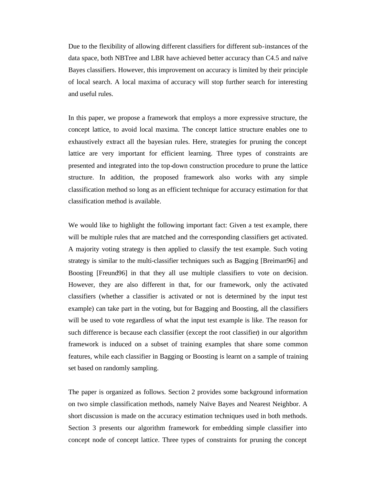Due to the flexibility of allowing different classifiers for different sub-instances of the data space, both NBTree and LBR have achieved better accuracy than C4.5 and naïve Bayes classifiers. However, this improvement on accuracy is limited by their principle of local search. A local maxima of accuracy will stop further search for interesting and useful rules.

In this paper, we propose a framework that employs a more expressive structure, the concept lattice, to avoid local maxima. The concept lattice structure enables one to exhaustively extract all the bayesian rules. Here, strategies for pruning the concept lattice are very important for efficient learning. Three types of constraints are presented and integrated into the top-down construction procedure to prune the lattice structure. In addition, the proposed framework also works with any simple classification method so long as an efficient technique for accuracy estimation for that classification method is available.

We would like to highlight the following important fact: Given a test example, there will be multiple rules that are matched and the corresponding classifiers get activated. A majority voting strategy is then applied to classify the test example. Such voting strategy is similar to the multi-classifier techniques such as Bagging [Breiman96] and Boosting [Freund96] in that they all use multiple classifiers to vote on decision. However, they are also different in that, for our framework, only the activated classifiers (whether a classifier is activated or not is determined by the input test example) can take part in the voting, but for Bagging and Boosting, all the classifiers will be used to vote regardless of what the input test example is like. The reason for such difference is because each classifier (except the root classifier) in our algorithm framework is induced on a subset of training examples that share some common features, while each classifier in Bagging or Boosting is learnt on a sample of training set based on randomly sampling.

The paper is organized as follows. Section 2 provides some background information on two simple classification methods, namely Naïve Bayes and Nearest Neighbor. A short discussion is made on the accuracy estimation techniques used in both methods. Section 3 presents our algorithm framework for embedding simple classifier into concept node of concept lattice. Three types of constraints for pruning the concept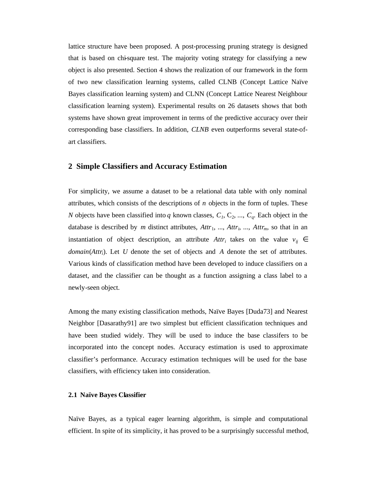lattice structure have been proposed. A post-processing pruning strategy is designed that is based on chi-square test. The majority voting strategy for classifying a new object is also presented. Section 4 shows the realization of our framework in the form of two new classification learning systems, called CLNB (Concept Lattice Naïve Bayes classification learning system) and CLNN (Concept Lattice Nearest Neighbour classification learning system). Experimental results on 26 datasets shows that both systems have shown great improvement in terms of the predictive accuracy over their corresponding base classifiers. In addition, *CLNB* even outperforms several state-ofart classifiers.

## **2 Simple Classifiers and Accuracy Estimation**

For simplicity, we assume a dataset to be a relational data table with only nominal attributes, which consists of the descriptions of *n* objects in the form of tuples. These *N* objects have been classified into *q* known classes,  $C_1$ ,  $C_2$ , ...,  $C_q$ . Each object in the database is described by *m* distinct attributes,  $Attr_1$ , ...,  $Attr_i$ , ...,  $Attr_m$ , so that in an instantiation of object description, an attribute  $Attr_i$  takes on the value  $v_{ij} \in$ *domain*(*Attri*). Let *U* denote the set of objects and *A* denote the set of attributes. Various kinds of classification method have been developed to induce classifiers on a dataset, and the classifier can be thought as a function assigning a class label to a newly-seen object.

Among the many existing classification methods, Naïve Bayes [Duda73] and Nearest Neighbor [Dasarathy91] are two simplest but efficient classification techniques and have been studied widely. They will be used to induce the base classifers to be incorporated into the concept nodes. Accuracy estimation is used to approximate classifier's performance. Accuracy estimation techniques will be used for the base classifiers, with efficiency taken into consideration.

#### **2.1 Naïve Bayes Classifier**

Naïve Bayes, as a typical eager learning algorithm, is simple and computational efficient. In spite of its simplicity, it has proved to be a surprisingly successful method,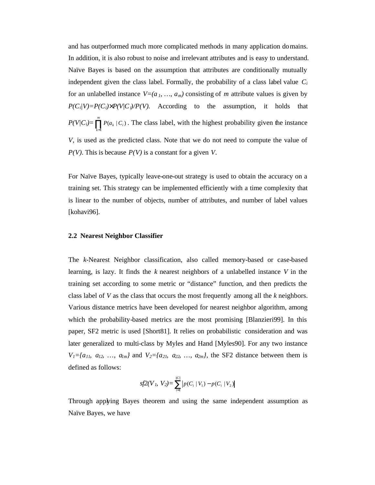and has outperformed much more complicated methods in many application domains. In addition, it is also robust to noise and irrelevant attributes and is easy to understand. Naïve Bayes is based on the assumption that attributes are conditionally mutually independent given the class label. Formally, the probability of a class label value *C<sup>i</sup>* for an unlabelled instance  $V=(a_1, ..., a_m)$  consisting of *m* attribute values is given by  $P(C_i|V)=P(C_i)$ <sup>'</sup> $P(V|C_i)/P(V)$ . According to the assumption, it holds that  $P(V|C_i) = \prod_{k=1}^{m}$  $\prod_{k=1} P(a_k \mid C_i)$  $(a_k | C_i)$ . The class label, with the highest probability given the instance *V,* is used as the predicted class. Note that we do not need to compute the value of *P(V).* This is because *P(V)* is a constant for a given *V*.

For Naïve Bayes, typically leave-one-out strategy is used to obtain the accuracy on a training set. This strategy can be implemented efficiently with a time complexity that is linear to the number of objects, number of attributes, and number of label values [kohavi96].

#### **2.2 Nearest Neighbor Classifier**

The *k-*Nearest Neighbor classification, also called memory-based or case-based learning, is lazy. It finds the *k* nearest neighbors of a unlabelled instance *V* in the training set according to some metric or "distance" function, and then predicts the class label of *V* as the class that occurs the most frequently among all the *k* neighbors. Various distance metrics have been developed for nearest neighbor algorithm, among which the probability-based metrics are the most promising [Blanzieri99]. In this paper, SF2 metric is used [Short81]. It relies on probabilistic consideration and was later generalized to multi-class by Myles and Hand [Myles90]. For any two instance *V*<sub>1</sub>={a<sub>11</sub>*,* a<sub>12</sub>*, ...,* a<sub>lm</sub>} and *V*<sub>2</sub>={a<sub>2</sub>*t, a*<sub>2</sub>*z<sub>1</sub>, ...,* a<sub>2m</sub>}, the SF2 distance between them is defined as follows:

$$
sf2(V_1, V_2) = \sum_{i=1}^{|C|} |p(C_i | V_1) - p(C_i | V_2)|
$$

Through applying Bayes theorem and using the same independent assumption as Naïve Bayes, we have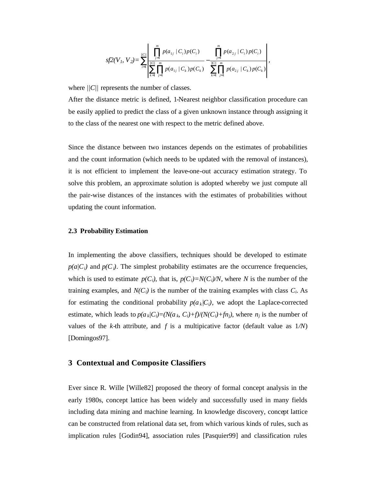$$
s f2(V_1, V_2) = \sum_{i=1}^{\lfloor |C|\rfloor} \frac{\left|\prod_{j=1}^m p(a_{1j} \mid C_i) p(C_i) - \prod_{j=1}^m p(a_{2j} \mid C_i) p(C_i)\right|}{\sum_{k=1}^{\lfloor |C|\rfloor} \prod_{j=1}^m p(a_{1j} \mid C_k) p(C_k)} - \sum_{k=1}^{\lfloor |C|\rfloor} \frac{p(a_{2j} \mid C_i) p(C_i)}{\sum_{k=1}^m \prod_{j=1}^m p(a_{2j} \mid C_k) p(C_k)}\right|,
$$

where *||C||* represents the number of classes.

After the distance metric is defined, 1-Nearest neighbor classification procedure can be easily applied to predict the class of a given unknown instance through assigning it to the class of the nearest one with respect to the metric defined above.

Since the distance between two instances depends on the estimates of probabilities and the count information (which needs to be updated with the removal of instances), it is not efficient to implement the leave-one-out accuracy estimation strategy. To solve this problem, an approximate solution is adopted whereby we just compute all the pair-wise distances of the instances with the estimates of probabilities without updating the count information.

#### **2.3 Probability Estimation**

In implementing the above classifiers, techniques should be developed to estimate  $p(a|C_i)$  and  $p(C_i)$ . The simplest probability estimates are the occurrence frequencies, which is used to estimate  $p(C_i)$ , that is,  $p(C_i)=N(C_i)/N$ , where *N* is the number of the training examples, and  $N(C_i)$  is the number of the training examples with class  $C_i$ . As for estimating the conditional probability  $p(a_k|C_i)$ , we adopt the Laplace-corrected estimate, which leads to  $p(a_k|C_i)=(N(a_k, C_i)+f)/(N(C_i)+fn_i)$ , where  $n_i$  is the number of values of the *k*-th attribute, and *f* is a multipicative factor (default value as  $1/N$ ) [Domingos97].

## **3 Contextual and Composite Classifiers**

Ever since R. Wille [Wille82] proposed the theory of formal concept analysis in the early 1980s, concept lattice has been widely and successfully used in many fields including data mining and machine learning. In knowledge discovery, concept lattice can be constructed from relational data set, from which various kinds of rules, such as implication rules [Godin94], association rules [Pasquier99] and classification rules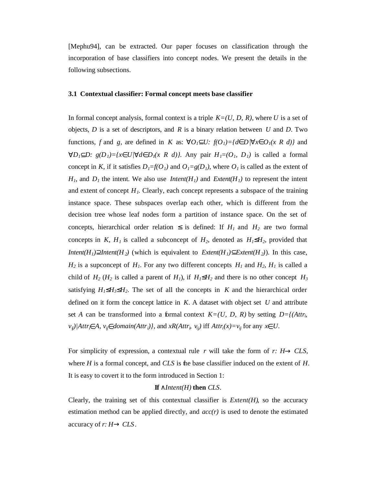[Mephu94], can be extracted. Our paper focuses on classification through the incorporation of base classifiers into concept nodes. We present the details in the following subsections.

## **3.1 Contextual classifier: Formal concept meets base classifier**

In formal concept analysis, formal context is a triple *K=(U, D, R)*, where *U* is a set of objects, *D* is a set of descriptors, and *R* is a binary relation between *U* and *D*. Two functions, *f* and *g*, are defined in *K* as:  $"O_1 \mathbf{I} U$ :  $f(O_1) = \{d\mathbf{I} D | "x \mathbf{I} O_1(x R d)\}$  and " $D_1 \hat{\mathbf{I}} D$ :  $g(D_1) = \{x \hat{\mathbf{I}} U \mid u \hat{\mathbf{I}} D_1(x R d)\}.$  Any pair  $H_1 = (O_1, D_1)$  is called a formal concept in *K*, if it satisfies  $D_1 = f(O_1)$  and  $O_1 = g(D_1)$ , where  $O_1$  is called as the extent of  $H_1$ , and  $D_1$  the intent. We also use *Intent(H<sub>1</sub>)* and *Extent(H<sub>1</sub>)* to represent the intent and extent of concept  $H<sub>l</sub>$ . Clearly, each concept represents a subspace of the training instance space. These subspaces overlap each other, which is different from the decision tree whose leaf nodes form a partition of instance space. On the set of concepts, hierarchical order relation  $f{x}$  is defined: If  $H{I}$  and  $H{2}$  are two formal concepts in *K*,  $H_1$  is called a subconcept of  $H_2$ , denoted as  $H_1 \mathbf{f} H_2$ , provided that *Intent*( $H_1$ ) $\hat{E}$ *Intent*( $H_2$ ) (which is equivalent to *Extent*( $H_1$ ) $\hat{I}$ *Extent*( $H_2$ )). In this case,  $H_2$  is a supconcept of  $H_1$ . For any two different concepts  $H_1$  and  $H_2$ ,  $H_1$  is called a child of  $H_2$  ( $H_2$  is called a parent of  $H_1$ ), if  $H_1$ **£** $H_2$  and there is no other concept  $H_3$ satisfying  $H_1$ **£** $H_3$ **£** $H_2$ . The set of all the concepts in *K* and the hierarchical order defined on it form the concept lattice in *K*. A dataset with object set *U* and attribute set *A* can be transformed into a formal context  $K=(U, D, R)$  by setting  $D=f(A t t r_b)$  $v_{ij}$ )/Attr<sub>i</sub> $\vec{I}$  A,  $v_{ij}$  $\vec{I}$  domain(Attr<sub>i</sub>)}, and xR(Attr<sub>i</sub>,  $v_{ij}$ ) iff Attr<sub>i</sub>(x)= $v_{ij}$  for any x $\vec{I}$  U.

For simplicity of expression, a contextual rule *r* will take the form of *r: H® CLS*, where *H* is a formal concept, and *CLS* is the base classifier induced on the extent of *H*. It is easy to covert it to the form introduced in Section 1:

## **If** *ÙIntent(H)* **then** *CLS*.

Clearly, the training set of this contextual classifier is  $Extent(H)$ , so the accuracy estimation method can be applied directly, and *acc(r)* is used to denote the estimated accuracy of *r: H® CLS*.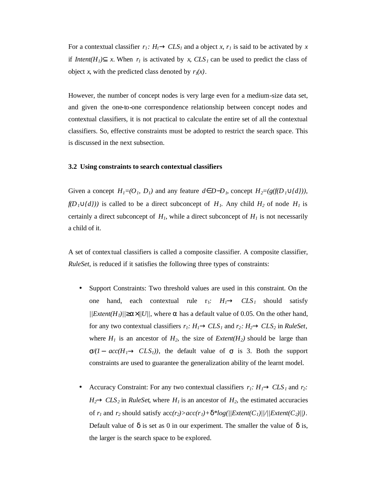For a contextual classifier  $r_1$ :  $H_1 \otimes CLS_1$  and a object *x*,  $r_1$  is said to be activated by *x* if *Intent*( $H_I$ ) $\hat{I}$  *x*. When  $r_I$  is activated by *x*,  $CLS_I$  can be used to predict the class of object *x*, with the predicted class denoted by  $r_1(x)$ .

However, the number of concept nodes is very large even for a medium-size data set, and given the one-to-one correspondence relationship between concept nodes and contextual classifiers, it is not practical to calculate the entire set of all the contextual classifiers. So, effective constraints must be adopted to restrict the search space. This is discussed in the next subsection.

#### **3.2 Using constraints to search contextual classifiers**

Given a concept  $H_1 = (O_1, D_1)$  and any feature  $d\hat{I}D - D_1$ , concept  $H_2 = (g(f(D_1 \hat{E}/d)))$ ,  $f(D_1 \tilde{E}{d})$  is called to be a direct subconcept of  $H_1$ . Any child  $H_2$  of node  $H_1$  is certainly a direct subconcept of  $H<sub>1</sub>$ , while a direct subconcept of  $H<sub>1</sub>$  is not necessarily a child of it.

A set of contextual classifiers is called a composite classifier. A composite classifier, *RuleSet*, is reduced if it satisfies the following three types of constraints:

- Support Constraints: Two threshold values are used in this constraint. On the one hand, each contextual rule r<sub>1</sub>:  $H_I \otimes CLS_I$  should satisfy  $||Extent(H_1)||^3$ a<sup>'</sup>//*U*//, where  $\alpha$  has a default value of 0.05. On the other hand, for any two contextual classifiers  $r_1$ :  $H_1 \otimes CLS_1$  and  $r_2$ :  $H_2 \otimes CLS_2$  in *RuleSet*, where  $H_1$  is an ancestor of  $H_2$ , the size of *Extent(H<sub>2</sub>)* should be large than  $\sigma/I$  *-*  $acc(H_I \otimes CLS_I)$ , the default value of  $\sigma$  is 3. Both the support constraints are used to guarantee the generalization ability of the learnt model.
- Accuracy Constraint: For any two contextual classifiers  $r_I$ :  $H_I \otimes CLS_I$  and  $r_2$ :  $H_2 \otimes CLS_2$  in *RuleSet*, where  $H_1$  is an ancestor of  $H_2$ , the estimated accuracies of  $r_1$  and  $r_2$  should satisfy  $\text{acc}(r_2) > \text{acc}(r_1) + \mathbf{d}^* \text{log}(\sqrt{|Extent(C_1)|/|Extent(C_2)|}).$ Default value of *d* is set as 0 in our experiment. The smaller the value of *d* is, the larger is the search space to be explored.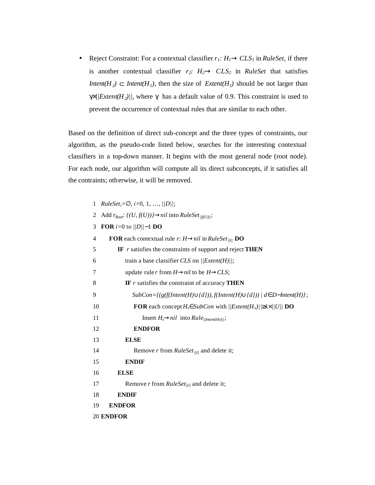• Reject Constraint: For a contextual classifier  $r_I$ :  $H_I \otimes CLS_I$  in *RuleSet*, if there is another contextual classifier  $r_2$ *:*  $H_2 \otimes CLS_2$  in *RuleSet* that satisfies *Intent*( $H_2$ )  $\tilde{I}$  *Intent*( $H_1$ ), then the size of *Extent*( $H_1$ ) should be not larger than  $g^2/|Extent(H_2)|$ , where  $g$  has a default value of 0.9. This constraint is used to prevent the occurrence of contextual rules that are similar to each other.

Based on the definition of direct sub-concept and the three types of constraints, our algorithm, as the pseudo-code listed below, searches for the interesting contextual classifiers in a top-down manner. It begins with the most general node (root node). For each node, our algorithm will compute all its direct subconcepts, if it satisfies all the contraints; otherwise, it will be removed.

| $\mathbf{1}$ | <i>RuleSet</i> <sub>i</sub> = $\mathbf{A}$ ; i=0, 1, , // <i>D</i> //;                                                         |
|--------------|--------------------------------------------------------------------------------------------------------------------------------|
| 2            | Add $r_{Root}: \{(U, f(U))\}$ @nil into RuleSet $_{\ f(U)\ }$ ;                                                                |
| 3            | <b>FOR</b> $i=0$ to $  D  -1$ <b>DO</b>                                                                                        |
| 4            | <b>FOR</b> each contextual rule r: $H \otimes nil$ in RuleSet <sub>liil</sub> DO                                               |
| 5            | IF $r$ satisfies the constraints of support and reject THEN                                                                    |
| 6            | train a base classifier CLS on $  Extent(H)  $ ;                                                                               |
| 7            | update rule r from $H \otimes nil$ to be $H \otimes CLS$ ;                                                                     |
| 8            | IF $r$ satisfies the constraint of accuracy THEN                                                                               |
| 9            | $SubCon=\{(g(f(Internet(H)\tilde{E}\lbrace d\rbrace)), f(Internet(H)\tilde{E}\lbrace d\rbrace))   d\tilde{I} D-Internet(H)\};$ |
| 10           | <b>FOR</b> each concept $H_s \in SubCon$ with $  Extent(H_s)  ^3k^2/  U  $ <b>DO</b>                                           |
| 11           | Insert $H_s \otimes nil$ into $Rule_{  Intent(Hs)  }$ ;                                                                        |
| 12           | <b>ENDFOR</b>                                                                                                                  |
| 13           | <b>ELSE</b>                                                                                                                    |
| 14           | Remove r from $RuleSet_{\text{liil}}$ and delete it;                                                                           |
| 15           | <b>ENDIF</b>                                                                                                                   |
| 16           | <b>ELSE</b>                                                                                                                    |
| 17           | Remove r from $RuleSet_{\{  i  \}}$ and delete it;                                                                             |
| 18           | <b>ENDIF</b>                                                                                                                   |
| 19           | <b>ENDFOR</b>                                                                                                                  |
|              | 20 ENDFOR                                                                                                                      |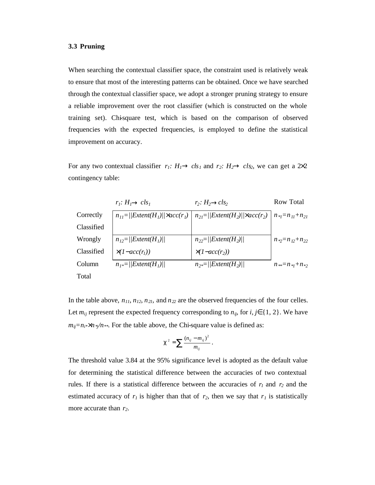#### **3.3 Pruning**

When searching the contextual classifier space, the constraint used is relatively weak to ensure that most of the interesting patterns can be obtained. Once we have searched through the contextual classifier space, we adopt a stronger pruning strategy to ensure a reliable improvement over the root classifier (which is constructed on the whole training set). Chi-square test, which is based on the comparison of observed frequencies with the expected frequencies, is employed to define the statistical improvement on accuracy.

For any two contextual classifier  $r_1$ :  $H_1 \otimes ck_1$  and  $r_2$ :  $H_2 \otimes ck_2$ , we can get a  $\geq 2$ contingency table:

|            | $r_i$ : $H_i \otimes \text{cls}_i$                       | $r_2$ : $H_2 \otimes cls_2$                       | <b>Row Total</b>           |
|------------|----------------------------------------------------------|---------------------------------------------------|----------------------------|
| Correctly  | $n_{11} =   \text{Extent}(H_1)  ^2$ acc(r <sub>1</sub> ) | $n_{2l} =   Extent(H_2)  ^2$ acc(r <sub>2</sub> ) | $n_{\gamma}=n_{11}+n_{21}$ |
| Classified |                                                          |                                                   |                            |
| Wrongly    | $n_{12} =   Extent(H_1)  $                               | $n_{22} =   Extent(H_2)  $                        | $n_{2} = n_{12} + n_{22}$  |
| Classified | $(1 - acc(r_1))$                                         | $(1 - acc(r2))$                                   |                            |
| Column     | $n_{1*} =   Extent(H_{1})  $                             | $n_{2} =   Extent(H_{2})  $                       | $n_{**}=n_{*1}+n_{*2}$     |
| Total      |                                                          |                                                   |                            |

In the table above,  $n_{11}$ ,  $n_{12}$ ,  $n_{21}$ , and  $n_{22}$  are the observed frequencies of the four celles. Let  $m_{ij}$  represent the expected frequency corresponding to  $n_{ij}$ , for *i*, *j***Î** {1, 2}. We have  $m_{ij} = n_{i} * n * / n *$ . For the table above, the Chi-square value is defined as:

$$
c^2 = \sum \frac{(n_{ij} - m_{ij})^2}{m_{ij}}.
$$

The threshold value 3.84 at the 95% significance level is adopted as the default value for determining the statistical difference between the accuracies of two contextual rules. If there is a statistical difference between the accuracies of  $r_1$  and  $r_2$  and the estimated accuracy of  $r<sub>1</sub>$  is higher than that of  $r<sub>2</sub>$ , then we say that  $r<sub>1</sub>$  is statistically more accurate than *r2*.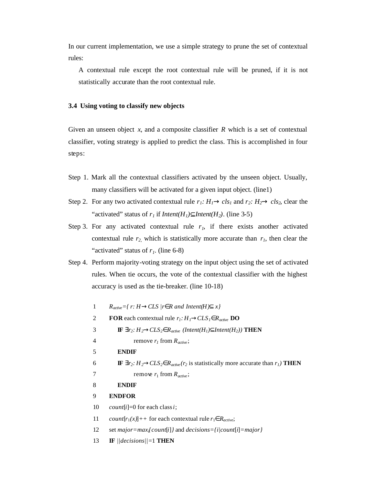In our current implementation, we use a simple strategy to prune the set of contextual rules:

A contextual rule except the root contextual rule will be pruned, if it is not statistically accurate than the root contextual rule.

### **3.4 Using voting to classify new objects**

Given an unseen object *x*, and a composite classifier *R* which is a set of contextual classifier, voting strategy is applied to predict the class. This is accomplished in four steps:

- Step 1. Mark all the contextual classifiers activated by the unseen object. Usually, many classifiers will be activated for a given input object. (line1)
- Step 2. For any two activated contextual rule  $r_1$ :  $H_1 \otimes c s_1$  and  $r_2$ :  $H_2 \otimes c s_2$ , clear the "activated" status of  $r_1$  if *Intent(H<sub>1</sub>)***I** *Intent(H<sub>2</sub>)*. (line 3-5)
- Step 3. For any activated contextual rule  $r<sub>i</sub>$ , if there exists another activated contextual rule  $r_2$  which is statistically more accurate than  $r_1$ , then clear the "activated" status of *r1*. (line 6-8)
- Step 4. Perform majority-voting strategy on the input object using the set of activated rules. When tie occurs, the vote of the contextual classifier with the highest accuracy is used as the tie-breaker. (line 10-18)
	- 1  $R_{active} = \{ r: H \otimes CLS \mid r \mathbf{\hat{I}} R \text{ and } Intent(H) \mathbf{\hat{I}} x \}$
	- 2 **FOR** each contextual rule  $r_I$ :  $H_I \otimes CLS_I \in R_{active}$  **DO**
	- 3 **IF**  $\exists r_2$ :  $H_2 \otimes CLS_2 \hat{\mathbf{I}} R_{active}$  (Intent(H<sub>1</sub>)**I** Intent(H<sub>2</sub>)) **THEN**
	- 4 remove  $r_I$  from  $R_{active}$ ;
	- 5 **ENDIF**
	- 6 **IF**  $\exists$ *r*<sub>2</sub>:  $H$ <sub>2</sub>*®CLS*<sub>2</sub> $\hat{I}$ *R*<sub>*active*</sub>(*r*<sub>2</sub> is statistically more accurate than *r*<sub>*1*</sub>) **THEN**
	- 7 remove  $r_1$  from  $R_{active}$ ;
	- 8 **ENDIF**
	- 9 **ENDFOR**
	- 10 *count*[*i*]=0 for each class *i*;
	- 11 *count* $[r_1(x)]$ ++ for each contextual rule  $r_1 \hat{\mathbf{I}} R_{active}$ ;
	- 12 set *major=maxi{count*[*i*]*}* and *decisions={i|count*[*i*]*=major}*
	- 13 **IF** *||decisions||=*1 **THEN**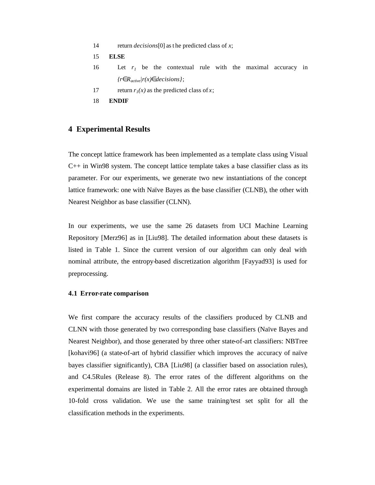- 14 return *decisions*[0] as t he predicted class of *x*;
- 15 **ELSE**
- 16 Let *r<sup>1</sup>* be the contextual rule with the maximal accuracy in *{rÎRactive|r(x)Îdecisions}*;
- 17 return  $r_1(x)$  as the predicted class of *x*;
- 18 **ENDIF**

## **4 Experimental Results**

The concept lattice framework has been implemented as a template class using Visual  $C_{++}$  in Win98 system. The concept lattice template takes a base classifier class as its parameter. For our experiments, we generate two new instantiations of the concept lattice framework: one with Naïve Bayes as the base classifier (CLNB), the other with Nearest Neighbor as base classifier (CLNN).

In our experiments, we use the same 26 datasets from UCI Machine Learning Repository [Merz96] as in [Liu98]. The detailed information about these datasets is listed in Table 1. Since the current version of our algorithm can only deal with nominal attribute, the entropy-based discretization algorithm [Fayyad93] is used for preprocessing.

#### **4.1 Error-rate comparison**

We first compare the accuracy results of the classifiers produced by CLNB and CLNN with those generated by two corresponding base classifiers (Naïve Bayes and Nearest Neighbor), and those generated by three other state-of-art classifiers: NBTree [kohavi96] (a state-of-art of hybrid classifier which improves the accuracy of naïve bayes classifier significantly), CBA [Liu98] (a classifier based on association rules), and C4.5Rules (Release 8). The error rates of the different algorithms on the experimental domains are listed in Table 2. All the error rates are obtained through 10-fold cross validation. We use the same training/test set split for all the classification methods in the experiments.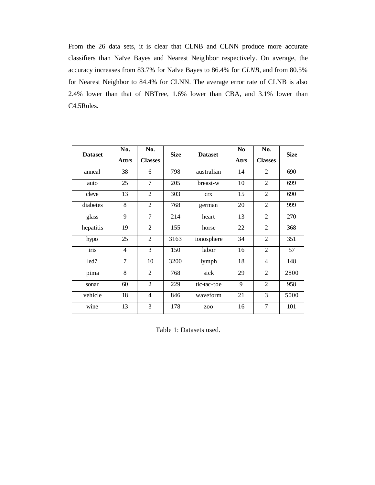From the 26 data sets, it is clear that CLNB and CLNN produce more accurate classifiers than Naïve Bayes and Nearest Neig hbor respectively. On average, the accuracy increases from 83.7% for Naïve Bayes to 86.4% for *CLNB*, and from 80.5% for Nearest Neighbor to 84.4% for CLNN. The average error rate of CLNB is also 2.4% lower than that of NBTree, 1.6% lower than CBA, and 3.1% lower than C4.5Rules.

| <b>Dataset</b>   | No.<br><b>Attrs</b> | No.<br><b>Classes</b> | <b>Size</b> | <b>Dataset</b> | N <sub>o</sub><br><b>Atrs</b> | No.<br><b>Classes</b> | <b>Size</b> |
|------------------|---------------------|-----------------------|-------------|----------------|-------------------------------|-----------------------|-------------|
| anneal           | 38                  | 6                     | 798         | australian     | 14                            | 2                     | 690         |
| auto             | 25                  | 7                     | 205         | breast-w       | 10                            | $\overline{c}$        | 699         |
| cleve            | 13                  | $\overline{2}$        | 303         | <b>CTX</b>     | 15                            | 2                     | 690         |
| diabetes         | $\overline{8}$      | $\overline{2}$        | 768         | german         | 20                            | $\overline{2}$        | 999         |
| glass            | 9                   | 7                     | 214         | heart          | 13                            | $\overline{2}$        | 270         |
| hepatitis        | 19                  | $\overline{2}$        | 155         | horse          | 22                            | 2                     | 368         |
| hypo             | 25                  | $\overline{2}$        | 3163        | ionosphere     | 34                            | $\overline{2}$        | 351         |
| iris             | 4                   | 3                     | 150         | labor          | 16                            | 2                     | 57          |
| led <sub>7</sub> | 7                   | 10                    | 3200        | lymph          | 18                            | $\overline{4}$        | 148         |
| pima             | 8                   | $\overline{2}$        | 768         | sick           | 29                            | $\overline{2}$        | 2800        |
| sonar            | 60                  | $\overline{2}$        | 229         | tic-tac-toe    | 9                             | $\overline{2}$        | 958         |
| vehicle          | 18                  | $\overline{4}$        | 846         | waveform       | 21                            | 3                     | 5000        |
| wine             | 13                  | 3                     | 178         | Z <sub>0</sub> | 16                            | 7                     | 101         |

Table 1: Datasets used.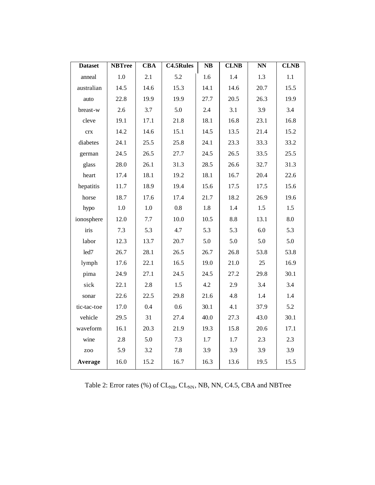| <b>Dataset</b> | <b>NBTree</b> | $\overline{\text{CBA}}$ | <b>C4.5Rules</b> | $\overline{\text{NB}}$ | <b>CLNB</b> | $\overline{\text{NN}}$ | <b>CLNB</b> |
|----------------|---------------|-------------------------|------------------|------------------------|-------------|------------------------|-------------|
| anneal         | 1.0           | 2.1                     | 5.2              | 1.6                    | 1.4         | 1.3                    | 1.1         |
| australian     | 14.5          | 14.6                    | 15.3             | 14.1                   | 14.6        | 20.7                   | 15.5        |
| auto           | 22.8          | 19.9                    | 19.9             | 27.7                   | 20.5        | 26.3                   | 19.9        |
| breast-w       | 2.6           | 3.7                     | 5.0              | 2.4                    | 3.1         | 3.9                    | 3.4         |
| cleve          | 19.1          | 17.1                    | 21.8             | 18.1                   | 16.8        | 23.1                   | 16.8        |
| crx            | 14.2          | 14.6                    | 15.1             | 14.5                   | 13.5        | 21.4                   | 15.2        |
| diabetes       | 24.1          | 25.5                    | 25.8             | 24.1                   | 23.3        | 33.3                   | 33.2        |
| german         | 24.5          | 26.5                    | 27.7             | 24.5                   | 26.5        | 33.5                   | 25.5        |
| glass          | 28.0          | 26.1                    | 31.3             | 28.5                   | 26.6        | 32.7                   | 31.3        |
| heart          | 17.4          | 18.1                    | 19.2             | 18.1                   | 16.7        | 20.4                   | 22.6        |
| hepatitis      | 11.7          | 18.9                    | 19.4             | 15.6                   | 17.5        | 17.5                   | 15.6        |
| horse          | 18.7          | 17.6                    | 17.4             | 21.7                   | 18.2        | 26.9                   | 19.6        |
| hypo           | 1.0           | 1.0                     | 0.8              | 1.8                    | 1.4         | 1.5                    | 1.5         |
| ionosphere     | 12.0          | 7.7                     | 10.0             | 10.5                   | 8.8         | 13.1                   | 8.0         |
| iris           | 7.3           | 5.3                     | 4.7              | 5.3                    | 5.3         | 6.0                    | 5.3         |
| labor          | 12.3          | 13.7                    | 20.7             | 5.0                    | 5.0         | 5.0                    | 5.0         |
| led7           | 26.7          | 28.1                    | 26.5             | 26.7                   | 26.8        | 53.8                   | 53.8        |
| lymph          | 17.6          | 22.1                    | 16.5             | 19.0                   | 21.0        | 25                     | 16.9        |
| pima           | 24.9          | 27.1                    | 24.5             | 24.5                   | 27.2        | 29.8                   | 30.1        |
| sick           | 22.1          | 2.8                     | 1.5              | 4.2                    | 2.9         | 3.4                    | 3.4         |
| sonar          | 22.6          | 22.5                    | 29.8             | 21.6                   | 4.8         | 1.4                    | 1.4         |
| tic-tac-toe    | 17.0          | 0.4                     | 0.6              | 30.1                   | 4.1         | 37.9                   | 5.2         |
| vehicle        | 29.5          | 31                      | 27.4             | 40.0                   | 27.3        | 43.0                   | 30.1        |
| waveform       | 16.1          | 20.3                    | 21.9             | 19.3                   | 15.8        | 20.6                   | 17.1        |
| wine           | 2.8           | 5.0                     | 7.3              | 1.7                    | 1.7         | 2.3                    | 2.3         |
| ZOO            | 5.9           | 3.2                     | 7.8              | 3.9                    | 3.9         | 3.9                    | 3.9         |
| Average        | 16.0          | 15.2                    | 16.7             | 16.3                   | 13.6        | 19.5                   | 15.5        |

Table 2: Error rates (%) of  $\rm CL_{\rm NB},$   $\rm CL_{\rm NN},$  NB, NN, C4.5, CBA and NBTree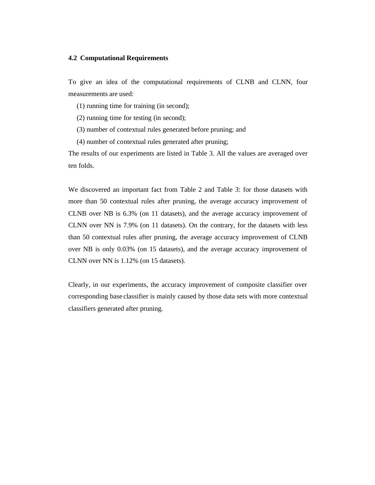#### **4.2 Computational Requirements**

To give an idea of the computational requirements of CLNB and CLNN, four measurements are used:

(1) running time for training (in second);

(2) running time for testing (in second);

(3) number of contextual rules generated before pruning; and

(4) number of contextual rules generated after pruning;

The results of our experiments are listed in Table 3. All the values are averaged over ten folds.

We discovered an important fact from Table 2 and Table 3: for those datasets with more than 50 contextual rules after pruning, the average accuracy improvement of CLNB over NB is 6.3% (on 11 datasets), and the average accuracy improvement of CLNN over NN is 7.9% (on 11 datasets). On the contrary, for the datasets with less than 50 contextual rules after pruning, the average accuracy improvement of CLNB over NB is only 0.03% (on 15 datasets), and the average accuracy improvement of CLNN over NN is 1.12% (on 15 datasets).

Clearly, in our experiments, the accuracy improvement of composite classifier over corresponding base classifier is mainly caused by those data sets with more contextual classifiers generated after pruning.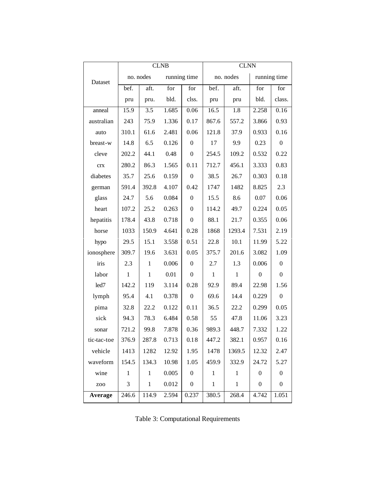|             | <b>CLNB</b>  |              |       |                  | <b>CLNN</b>  |              |                  |                  |
|-------------|--------------|--------------|-------|------------------|--------------|--------------|------------------|------------------|
| Dataset     | no. nodes    |              |       | running time     |              | no. nodes    | running time     |                  |
|             | bef.         | aft.         | for   | for              | bef.         | aft.         | for              | for              |
|             | pru          | pru.         | bld.  | clss.            | pru          | pru          | bld.             | class.           |
| anneal      | 15.9         | 3.5          | 1.685 | 0.06             | 16.5         | 1.8          | 2.258            | 0.16             |
| australian  | 243          | 75.9         | 1.336 | 0.17             | 867.6        | 557.2        | 3.866            | 0.93             |
| auto        | 310.1        | 61.6         | 2.481 | 0.06             | 121.8        | 37.9         | 0.933            | 0.16             |
| breast-w    | 14.8         | 6.5          | 0.126 | $\overline{0}$   | 17           | 9.9          | 0.23             | $\overline{0}$   |
| cleve       | 202.2        | 44.1         | 0.48  | $\boldsymbol{0}$ | 254.5        | 109.2        | 0.532            | 0.22             |
| <b>CTX</b>  | 280.2        | 86.3         | 1.565 | 0.11             | 712.7        | 456.1        | 3.333            | 0.83             |
| diabetes    | 35.7         | 25.6         | 0.159 | $\boldsymbol{0}$ | 38.5         | 26.7         | 0.303            | 0.18             |
| german      | 591.4        | 392.8        | 4.107 | 0.42             | 1747         | 1482         | 8.825            | 2.3              |
| glass       | 24.7         | 5.6          | 0.084 | $\boldsymbol{0}$ | 15.5         | 8.6          | 0.07             | 0.06             |
| heart       | 107.2        | 25.2         | 0.263 | $\boldsymbol{0}$ | 114.2        | 49.7         | 0.224            | 0.05             |
| hepatitis   | 178.4        | 43.8         | 0.718 | $\boldsymbol{0}$ | 88.1         | 21.7         | 0.355            | 0.06             |
| horse       | 1033         | 150.9        | 4.641 | 0.28             | 1868         | 1293.4       | 7.531            | 2.19             |
| hypo        | 29.5         | 15.1         | 3.558 | 0.51             | 22.8         | 10.1         | 11.99            | 5.22             |
| ionosphere  | 309.7        | 19.6         | 3.631 | 0.05             | 375.7        | 201.6        | 3.082            | 1.09             |
| iris        | 2.3          | $\mathbf{1}$ | 0.006 | $\boldsymbol{0}$ | 2.7          | 1.3          | 0.006            | $\boldsymbol{0}$ |
| labor       | $\mathbf{1}$ | $\mathbf{1}$ | 0.01  | $\boldsymbol{0}$ | $\mathbf{1}$ | 1            | $\mathbf{0}$     | $\mathbf{0}$     |
| led7        | 142.2        | 119          | 3.114 | 0.28             | 92.9         | 89.4         | 22.98            | 1.56             |
| lymph       | 95.4         | 4.1          | 0.378 | $\boldsymbol{0}$ | 69.6         | 14.4         | 0.229            | $\overline{0}$   |
| pima        | 32.8         | 22.2         | 0.122 | 0.11             | 36.5         | 22.2         | 0.299            | 0.05             |
| sick        | 94.3         | 78.3         | 6.484 | 0.58             | 55           | 47.8         | 11.06            | 3.23             |
| sonar       | 721.2        | 99.8         | 7.878 | 0.36             | 989.3        | 448.7        | 7.332            | 1.22             |
| tic-tac-toe | 376.9        | 287.8        | 0.713 | 0.18             | 447.2        | 382.1        | 0.957            | 0.16             |
| vehicle     | 1413         | 1282         | 12.92 | 1.95             | 1478         | 1369.5       | 12.32            | 2.47             |
| waveform    | 154.5        | 134.3        | 10.98 | 1.05             | 459.9        | 332.9        | 24.72            | 5.27             |
| wine        | $\mathbf{1}$ | 1            | 0.005 | $\boldsymbol{0}$ | $\mathbf{1}$ | $\mathbf{1}$ | $\boldsymbol{0}$ | $\boldsymbol{0}$ |
| ZOO         | 3            | $\mathbf{1}$ | 0.012 | $\boldsymbol{0}$ | $\,1\,$      | $\mathbf{1}$ | $\boldsymbol{0}$ | $\boldsymbol{0}$ |
| Average     | 246.6        | 114.9        | 2.594 | 0.237            | 380.5        | 268.4        | 4.742            | 1.051            |

|  | Table 3: Computational Requirements |
|--|-------------------------------------|
|  |                                     |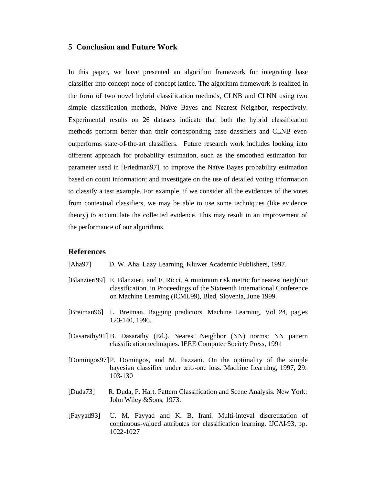# **5 Conclusion and Future Work**

In this paper, we have presented an algorithm framework for integrating base classifier into concept node of concept lattice. The algorithm framework is realized in the form of two novel hybrid classification methods, CLNB and CLNN using two simple classification methods, Naïve Bayes and Nearest Neighbor, respectively. Experimental results on 26 datasets indicate that both the hybrid classification methods perform better than their corresponding base dassifiers and CLNB even outperforms state-of-the-art classifiers. Future research work includes looking into different approach for probability estimation, such as the smoothed estimation for parameter used in [Friedman97], to improve the Naïve Bayes probability estimation based on count information; and investigate on the use of detailed voting information to classify a test example. For example, if we consider all the evidences of the votes from contextual classifiers, we may be able to use some techniques (like evidence theory) to accumulate the collected evidence. This may result in an improvement of the performance of our algorithms.

# **References**

- [Aha97] D. W. Aha. Lazy Learning, Kluwer Academic Publishers, 1997.
- [Blanzieri99] E. Blanzieri, and F. Ricci. A minimum risk metric for nearest neighbor classification. in Proceedings of the Sixteenth International Conference on Machine Learning (ICML99), Bled, Slovenia, June 1999.
- [Breiman96] L. Breiman. Bagging predictors. Machine Learning, Vol 24, pag es 123-140, 1996.
- [Dasarathy91] B. Dasarathy (Ed.). Nearest Neighbor (NN) norms: NN pattern classification techniques. IEEE Computer Society Press, 1991
- [Domingos97]P. Domingos, and M. Pazzani. On the optimality of the simple bayesian classifier under zero-one loss. Machine Learning, 1997, 29: 103-130
- [Duda73] R. Duda, P. Hart. Pattern Classification and Scene Analysis. New York: John Wiley &Sons, 1973.
- [Fayyad93] U. M. Fayyad and K. B. Irani. Multi-inteval discretization of continuous-valued attributes for classification learning. IJCAI-93, pp. 1022-1027